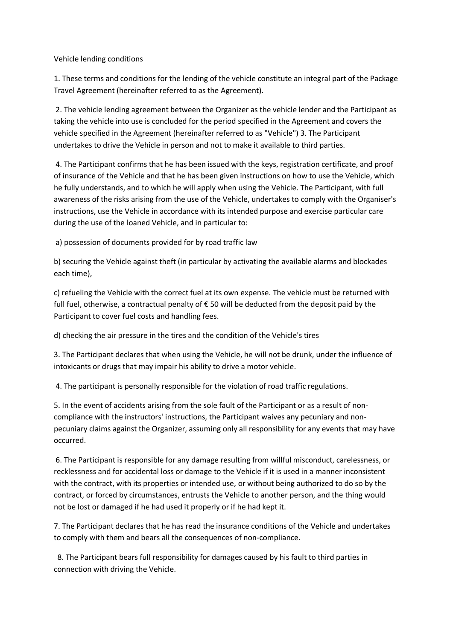Vehicle lending conditions

1. These terms and conditions for the lending of the vehicle constitute an integral part of the Package Travel Agreement (hereinafter referred to as the Agreement).

2. The vehicle lending agreement between the Organizer as the vehicle lender and the Participant as taking the vehicle into use is concluded for the period specified in the Agreement and covers the vehicle specified in the Agreement (hereinafter referred to as "Vehicle") 3. The Participant undertakes to drive the Vehicle in person and not to make it available to third parties.

4. The Participant confirms that he has been issued with the keys, registration certificate, and proof of insurance of the Vehicle and that he has been given instructions on how to use the Vehicle, which he fully understands, and to which he will apply when using the Vehicle. The Participant, with full awareness of the risks arising from the use of the Vehicle, undertakes to comply with the Organiser's instructions, use the Vehicle in accordance with its intended purpose and exercise particular care during the use of the loaned Vehicle, and in particular to:

a) possession of documents provided for by road traffic law

b) securing the Vehicle against theft (in particular by activating the available alarms and blockades each time),

c) refueling the Vehicle with the correct fuel at its own expense. The vehicle must be returned with full fuel, otherwise, a contractual penalty of € 50 will be deducted from the deposit paid by the Participant to cover fuel costs and handling fees.

d) checking the air pressure in the tires and the condition of the Vehicle's tires

3. The Participant declares that when using the Vehicle, he will not be drunk, under the influence of intoxicants or drugs that may impair his ability to drive a motor vehicle.

4. The participant is personally responsible for the violation of road traffic regulations.

5. In the event of accidents arising from the sole fault of the Participant or as a result of noncompliance with the instructors' instructions, the Participant waives any pecuniary and nonpecuniary claims against the Organizer, assuming only all responsibility for any events that may have occurred.

6. The Participant is responsible for any damage resulting from willful misconduct, carelessness, or recklessness and for accidental loss or damage to the Vehicle if it is used in a manner inconsistent with the contract, with its properties or intended use, or without being authorized to do so by the contract, or forced by circumstances, entrusts the Vehicle to another person, and the thing would not be lost or damaged if he had used it properly or if he had kept it.

7. The Participant declares that he has read the insurance conditions of the Vehicle and undertakes to comply with them and bears all the consequences of non-compliance.

 8. The Participant bears full responsibility for damages caused by his fault to third parties in connection with driving the Vehicle.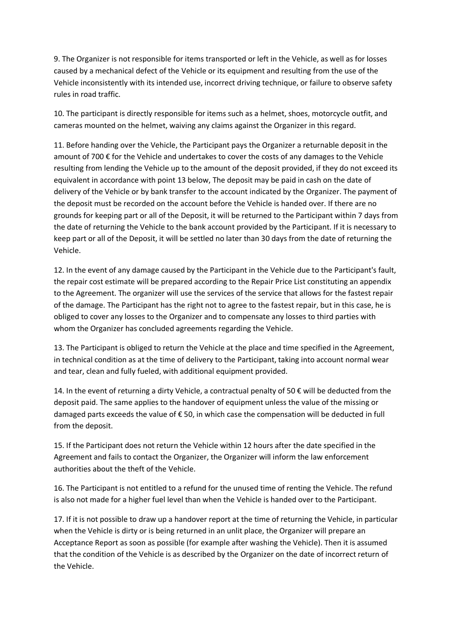9. The Organizer is not responsible for items transported or left in the Vehicle, as well as for losses caused by a mechanical defect of the Vehicle or its equipment and resulting from the use of the Vehicle inconsistently with its intended use, incorrect driving technique, or failure to observe safety rules in road traffic.

10. The participant is directly responsible for items such as a helmet, shoes, motorcycle outfit, and cameras mounted on the helmet, waiving any claims against the Organizer in this regard.

11. Before handing over the Vehicle, the Participant pays the Organizer a returnable deposit in the amount of 700  $\epsilon$  for the Vehicle and undertakes to cover the costs of any damages to the Vehicle resulting from lending the Vehicle up to the amount of the deposit provided, if they do not exceed its equivalent in accordance with point 13 below, The deposit may be paid in cash on the date of delivery of the Vehicle or by bank transfer to the account indicated by the Organizer. The payment of the deposit must be recorded on the account before the Vehicle is handed over. If there are no grounds for keeping part or all of the Deposit, it will be returned to the Participant within 7 days from the date of returning the Vehicle to the bank account provided by the Participant. If it is necessary to keep part or all of the Deposit, it will be settled no later than 30 days from the date of returning the Vehicle.

12. In the event of any damage caused by the Participant in the Vehicle due to the Participant's fault, the repair cost estimate will be prepared according to the Repair Price List constituting an appendix to the Agreement. The organizer will use the services of the service that allows for the fastest repair of the damage. The Participant has the right not to agree to the fastest repair, but in this case, he is obliged to cover any losses to the Organizer and to compensate any losses to third parties with whom the Organizer has concluded agreements regarding the Vehicle.

13. The Participant is obliged to return the Vehicle at the place and time specified in the Agreement, in technical condition as at the time of delivery to the Participant, taking into account normal wear and tear, clean and fully fueled, with additional equipment provided.

14. In the event of returning a dirty Vehicle, a contractual penalty of 50  $\epsilon$  will be deducted from the deposit paid. The same applies to the handover of equipment unless the value of the missing or damaged parts exceeds the value of € 50, in which case the compensation will be deducted in full from the deposit.

15. If the Participant does not return the Vehicle within 12 hours after the date specified in the Agreement and fails to contact the Organizer, the Organizer will inform the law enforcement authorities about the theft of the Vehicle.

16. The Participant is not entitled to a refund for the unused time of renting the Vehicle. The refund is also not made for a higher fuel level than when the Vehicle is handed over to the Participant.

17. If it is not possible to draw up a handover report at the time of returning the Vehicle, in particular when the Vehicle is dirty or is being returned in an unlit place, the Organizer will prepare an Acceptance Report as soon as possible (for example after washing the Vehicle). Then it is assumed that the condition of the Vehicle is as described by the Organizer on the date of incorrect return of the Vehicle.